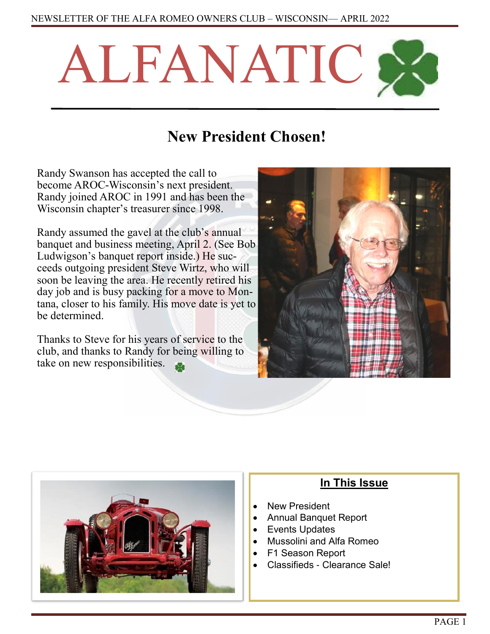

# **New President Chosen!**

Randy Swanson has accepted the call to become AROC-Wisconsin's next president. Randy joined AROC in 1991 and has been the Wisconsin chapter's treasurer since 1998.

Randy assumed the gavel at the club's annual banquet and business meeting, April 2. (See Bob Ludwigson's banquet report inside.) He succeeds outgoing president Steve Wirtz, who will soon be leaving the area. He recently retired his day job and is busy packing for a move to Montana, closer to his family. His move date is yet to be determined.

Thanks to Steve for his years of service to the club, and thanks to Randy for being willing to take on new responsibilities.





## **In This Issue**

- New President
- Annual Banquet Report
- Events Updates
- Mussolini and Alfa Romeo
- F1 Season Report
- Classifieds Clearance Sale!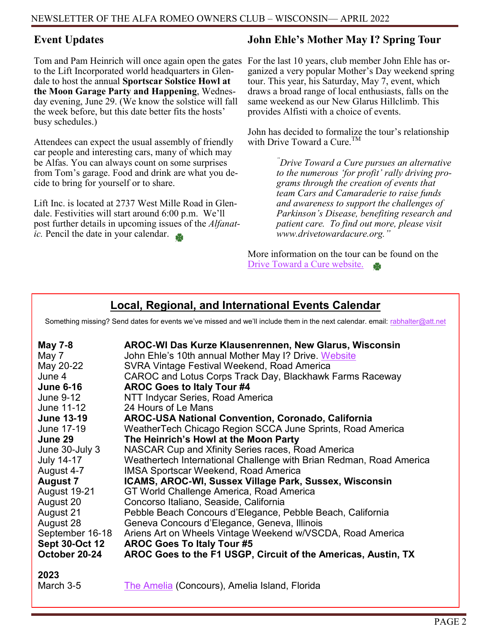## **Event Updates**

Tom and Pam Heinrich will once again open the gates to the Lift Incorporated world headquarters in Glendale to host the annual **Sportscar Solstice Howl at the Moon Garage Party and Happening**, Wednesday evening, June 29. (We know the solstice will fall the week before, but this date better fits the hosts' busy schedules.)

Attendees can expect the usual assembly of friendly car people and interesting cars, many of which may be Alfas. You can always count on some surprises from Tom's garage. Food and drink are what you decide to bring for yourself or to share.

Lift Inc. is located at 2737 West Mille Road in Glendale. Festivities will start around 6:00 p.m. We'll post further details in upcoming issues of the *Alfanatic.* Pencil the date in your calendar.

## **John Ehle's Mother May I? Spring Tour**

For the last 10 years, club member John Ehle has organized a very popular Mother's Day weekend spring tour. This year, his Saturday, May 7, event, which draws a broad range of local enthusiasts, falls on the same weekend as our New Glarus Hillclimb. This provides Alfisti with a choice of events.

John has decided to formalize the tour's relationship with Drive Toward a Cure.<sup>TM</sup>

> *"Drive Toward a Cure pursues an alternative to the numerous 'for profit' rally driving programs through the creation of events that team Cars and Camaraderie to raise funds and awareness to support the challenges of Parkinson's Disease, benefiting research and patient care. To find out more, please visit www.drivetowardacure.org."*

More information on the tour can be found on the [Drive Toward a Cure website.](https://www.drivetowardacure.org/fundraising/mother-may-i-spring-tour)

## **Local, Regional, and International Events Calendar**

Something missing? Send dates for events we've missed and we'll include them in the next calendar. email: [rabhalter@att.net](mailto:rabhalter@att.net?subject=New%20Events%20for%20Calendar)

| <b>May 7-8</b><br>May 7<br>May 20-22<br>June 4<br><b>June 6-16</b><br>June 9-12<br>June 11-12<br><b>June 13-19</b><br>June 17-19<br>June 29<br>June 30-July 3<br><b>July 14-17</b><br>August 4-7<br><b>August 7</b><br>August 19-21<br>August 20<br>August 21<br>August 28<br>September 16-18<br><b>Sept 30-Oct 12</b> | AROC-WI Das Kurze Klausenrennen, New Glarus, Wisconsin<br>John Ehle's 10th annual Mother May I? Drive. Website<br>SVRA Vintage Festival Weekend, Road America<br>CAROC and Lotus Corps Track Day, Blackhawk Farms Raceway<br><b>AROC Goes to Italy Tour #4</b><br>NTT Indycar Series, Road America<br>24 Hours of Le Mans<br><b>AROC-USA National Convention, Coronado, California</b><br>WeatherTech Chicago Region SCCA June Sprints, Road America<br>The Heinrich's Howl at the Moon Party<br>NASCAR Cup and Xfinity Series races, Road America<br>Weathertech International Challenge with Brian Redman, Road America<br><b>IMSA Sportscar Weekend, Road America</b><br>ICAMS, AROC-WI, Sussex Village Park, Sussex, Wisconsin<br>GT World Challenge America, Road America<br>Concorso Italiano, Seaside, California<br>Pebble Beach Concours d'Elegance, Pebble Beach, California<br>Geneva Concours d'Elegance, Geneva, Illinois<br>Ariens Art on Wheels Vintage Weekend w/VSCDA, Road America<br><b>AROC Goes To Italy Tour #5</b> |
|------------------------------------------------------------------------------------------------------------------------------------------------------------------------------------------------------------------------------------------------------------------------------------------------------------------------|-------------------------------------------------------------------------------------------------------------------------------------------------------------------------------------------------------------------------------------------------------------------------------------------------------------------------------------------------------------------------------------------------------------------------------------------------------------------------------------------------------------------------------------------------------------------------------------------------------------------------------------------------------------------------------------------------------------------------------------------------------------------------------------------------------------------------------------------------------------------------------------------------------------------------------------------------------------------------------------------------------------------------------------------|
| October 20-24                                                                                                                                                                                                                                                                                                          | AROC Goes to the F1 USGP, Circuit of the Americas, Austin, TX                                                                                                                                                                                                                                                                                                                                                                                                                                                                                                                                                                                                                                                                                                                                                                                                                                                                                                                                                                             |
| 2023<br>March 3-5                                                                                                                                                                                                                                                                                                      | The Amelia (Concours), Amelia Island, Florida                                                                                                                                                                                                                                                                                                                                                                                                                                                                                                                                                                                                                                                                                                                                                                                                                                                                                                                                                                                             |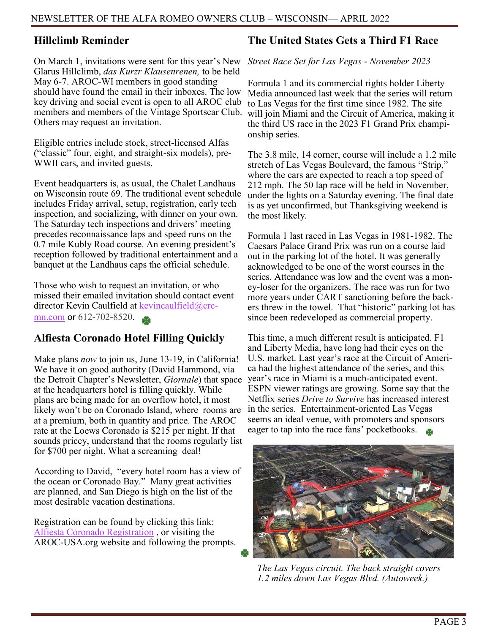### **Hillclimb Reminder**

On March 1, invitations were sent for this year's New Glarus Hillclimb, *das Kurzr Klausenrenen,* to be held May 6-7. AROC-WI members in good standing should have found the email in their inboxes. The low key driving and social event is open to all AROC club members and members of the Vintage Sportscar Club. Others may request an invitation.

Eligible entries include stock, street-licensed Alfas ("classic" four, eight, and straight-six models), pre-WWII cars, and invited guests.

Event headquarters is, as usual, the Chalet Landhaus on Wisconsin route 69. The traditional event schedule includes Friday arrival, setup, registration, early tech inspection, and socializing, with dinner on your own. The Saturday tech inspections and drivers' meeting precedes reconnaissance laps and speed runs on the 0.7 mile Kubly Road course. An evening president's reception followed by traditional entertainment and a banquet at the Landhaus caps the official schedule.

Those who wish to request an invitation, or who missed their emailed invitation should contact event director Kevin Caulfield at [kevincaulfield@crc](mailto:kevincaulfield@crc-mn.com)[mn.com](mailto:kevincaulfield@crc-mn.com) or 612-702-8520.

## **Alfiesta Coronado Hotel Filling Quickly**

Make plans *now* to join us, June 13-19, in California! We have it on good authority (David Hammond, via the Detroit Chapter's Newsletter, *Giornale*) that space at the headquarters hotel is filling quickly. While plans are being made for an overflow hotel, it most likely won't be on Coronado Island, where rooms are at a premium, both in quantity and price. The AROC rate at the Loews Coronado is \$215 per night. If that sounds pricey, understand that the rooms regularly list for \$700 per night. What a screaming deal!

According to David, "every hotel room has a view of the ocean or Coronado Bay." Many great activities are planned, and San Diego is high on the list of the most desirable vacation destinations.

Registration can be found by clicking this link: [Alfiesta Coronado Registration](https://aroc-usa.clubexpress.com/content.aspx?page_id=22&club_id=677320&module_id=507606&actr=4) , or visiting the AROC-USA.org website and following the prompts.

### **The United States Gets a Third F1 Race**

*Street Race Set for Las Vegas - November 2023*

Formula 1 and its commercial rights holder Liberty Media announced last week that the series will return to Las Vegas for the first time since 1982. The site will join Miami and the Circuit of America, making it the third US race in the 2023 F1 Grand Prix championship series.

The 3.8 mile, 14 corner, course will include a 1.2 mile stretch of Las Vegas Boulevard, the famous "Strip," where the cars are expected to reach a top speed of 212 mph. The 50 lap race will be held in November, under the lights on a Saturday evening. The final date is as yet unconfirmed, but Thanksgiving weekend is the most likely.

Formula 1 last raced in Las Vegas in 1981-1982. The Caesars Palace Grand Prix was run on a course laid out in the parking lot of the hotel. It was generally acknowledged to be one of the worst courses in the series. Attendance was low and the event was a money-loser for the organizers. The race was run for two more years under CART sanctioning before the backers threw in the towel. That "historic" parking lot has since been redeveloped as commercial property.

This time, a much different result is anticipated. F1 and Liberty Media, have long had their eyes on the U.S. market. Last year's race at the Circuit of America had the highest attendance of the series, and this year's race in Miami is a much-anticipated event. ESPN viewer ratings are growing. Some say that the Netflix series *Drive to Survive* has increased interest in the series. Entertainment-oriented Las Vegas seems an ideal venue, with promoters and sponsors eager to tap into the race fans' pocketbooks.



*The Las Vegas circuit. The back straight covers 1.2 miles down Las Vegas Blvd. (Autoweek.)*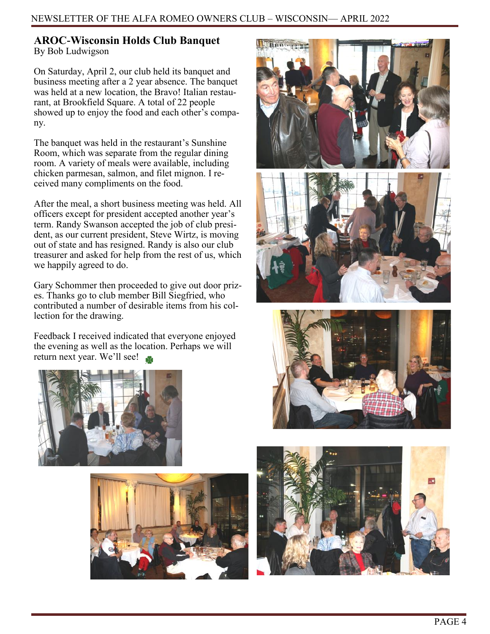## **AROC-Wisconsin Holds Club Banquet**

By Bob Ludwigson

On Saturday, April 2, our club held its banquet and business meeting after a 2 year absence. The banquet was held at a new location, the Bravo! Italian restaurant, at Brookfield Square. A total of 22 people showed up to enjoy the food and each other's company.

The banquet was held in the restaurant's Sunshine Room, which was separate from the regular dining room. A variety of meals were available, including chicken parmesan, salmon, and filet mignon. I received many compliments on the food.

After the meal, a short business meeting was held. All officers except for president accepted another year's term. Randy Swanson accepted the job of club president, as our current president, Steve Wirtz, is moving out of state and has resigned. Randy is also our club treasurer and asked for help from the rest of us, which we happily agreed to do.

Gary Schommer then proceeded to give out door prizes. Thanks go to club member Bill Siegfried, who contributed a number of desirable items from his collection for the drawing.

Feedback I received indicated that everyone enjoyed the evening as well as the location. Perhaps we will return next year. We'll see!









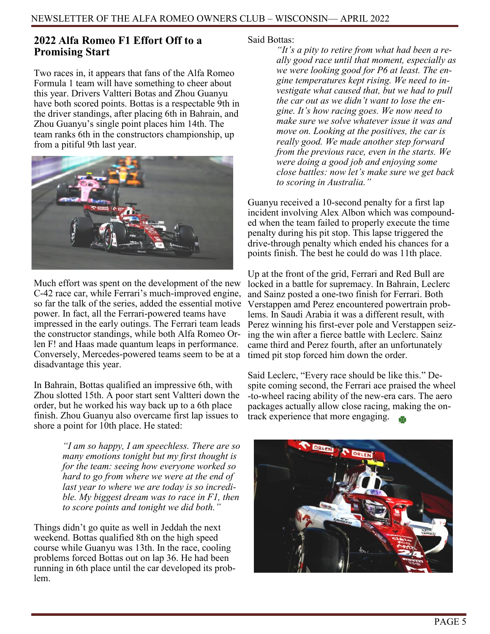## **2022 Alfa Romeo F1 Effort Off to a Promising Start**

Two races in, it appears that fans of the Alfa Romeo Formula 1 team will have something to cheer about this year. Drivers Valtteri Botas and Zhou Guanyu have both scored points. Bottas is a respectable 9th in the driver standings, after placing 6th in Bahrain, and Zhou Guanyu's single point places him 14th. The team ranks 6th in the constructors championship, up from a pitiful 9th last year.



Much effort was spent on the development of the new C-42 race car, while Ferrari's much-improved engine, so far the talk of the series, added the essential motive power. In fact, all the Ferrari-powered teams have impressed in the early outings. The Ferrari team leads the constructor standings, while both Alfa Romeo Orlen F! and Haas made quantum leaps in performance. Conversely, Mercedes-powered teams seem to be at a disadvantage this year.

In Bahrain, Bottas qualified an impressive 6th, with Zhou slotted 15th. A poor start sent Valtteri down the order, but he worked his way back up to a 6th place finish. Zhou Guanyu also overcame first lap issues to shore a point for 10th place. He stated:

> *"I am so happy, I am speechless. There are so many emotions tonight but my first thought is for the team: seeing how everyone worked so hard to go from where we were at the end of last year to where we are today is so incredible. My biggest dream was to race in F1, then to score points and tonight we did both."*

Things didn't go quite as well in Jeddah the next weekend. Bottas qualified 8th on the high speed course while Guanyu was 13th. In the race, cooling problems forced Bottas out on lap 36. He had been running in 6th place until the car developed its problem.

Said Bottas:

*"It's a pity to retire from what had been a really good race until that moment, especially as we were looking good for P6 at least. The engine temperatures kept rising. We need to investigate what caused that, but we had to pull the car out as we didn't want to lose the engine. It's how racing goes. We now need to make sure we solve whatever issue it was and move on. Looking at the positives, the car is really good. We made another step forward from the previous race, even in the starts. We were doing a good job and enjoying some close battles: now let's make sure we get back to scoring in Australia."* 

Guanyu received a 10-second penalty for a first lap incident involving Alex Albon which was compounded when the team failed to properly execute the time penalty during his pit stop. This lapse triggered the drive-through penalty which ended his chances for a points finish. The best he could do was 11th place.

Up at the front of the grid, Ferrari and Red Bull are locked in a battle for supremacy. In Bahrain, Leclerc and Sainz posted a one-two finish for Ferrari. Both Verstappen amd Perez encountered powertrain problems. In Saudi Arabia it was a different result, with Perez winning his first-ever pole and Verstappen seizing the win after a fierce battle with Leclerc. Sainz came third and Perez fourth, after an unfortunately timed pit stop forced him down the order.

Said Leclerc, "Every race should be like this." Despite coming second, the Ferrari ace praised the wheel -to-wheel racing ability of the new-era cars. The aero packages actually allow close racing, making the ontrack experience that more engaging.

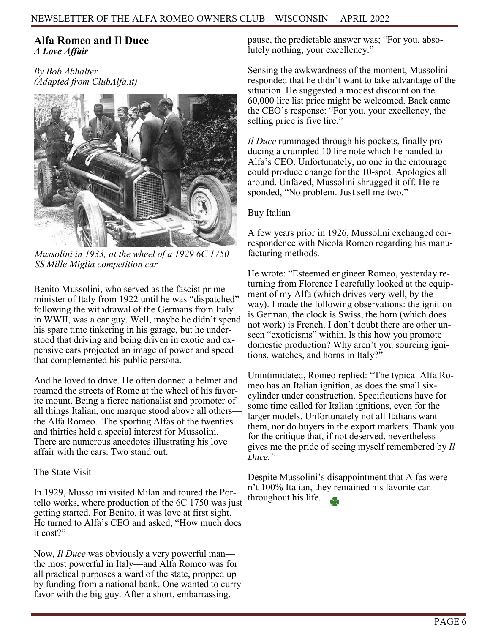#### **Alfa Romeo and Il Duce** *A Love Affair*

*By Bob Abhalter (Adapted from ClubAlfa.it)*



*Mussolini in 1933, at the wheel of a 1929 6C 1750 SS Mille Miglia competition car* 

Benito Mussolini, who served as the fascist prime minister of Italy from 1922 until he was "dispatched" following the withdrawal of the Germans from Italy in WWII, was a car guy. Well, maybe he didn't spend his spare time tinkering in his garage, but he understood that driving and being driven in exotic and expensive cars projected an image of power and speed that complemented his public persona.

And he loved to drive. He often donned a helmet and roamed the streets of Rome at the wheel of his favorite mount. Being a fierce nationalist and promoter of all things Italian, one marque stood above all others the Alfa Romeo. The sporting Alfas of the twenties and thirties held a special interest for Mussolini. There are numerous anecdotes illustrating his love affair with the cars. Two stand out.

#### The State Visit

In 1929, Mussolini visited Milan and toured the Portello works, where production of the 6C 1750 was just getting started. For Benito, it was love at first sight. He turned to Alfa's CEO and asked, "How much does it cost?"

Now, *Il Duce* was obviously a very powerful man the most powerful in Italy—and Alfa Romeo was for all practical purposes a ward of the state, propped up by funding from a national bank. One wanted to curry favor with the big guy. After a short, embarrassing,

pause, the predictable answer was; "For you, absolutely nothing, your excellency."

Sensing the awkwardness of the moment, Mussolini responded that he didn't want to take advantage of the situation. He suggested a modest discount on the 60,000 lire list price might be welcomed. Back came the CEO's response: "For you, your excellency, the selling price is five lire."

*Il Duce* rummaged through his pockets, finally producing a crumpled 10 lire note which he handed to Alfa's CEO. Unfortunately, no one in the entourage could produce change for the 10-spot. Apologies all around. Unfazed, Mussolini shrugged it off. He responded, "No problem. Just sell me two."

#### Buy Italian

A few years prior in 1926, Mussolini exchanged correspondence with Nicola Romeo regarding his manufacturing methods.

He wrote: "Esteemed engineer Romeo, yesterday returning from Florence I carefully looked at the equipment of my Alfa (which drives very well, by the way). I made the following observations: the ignition is German, the clock is Swiss, the horn (which does not work) is French. I don't doubt there are other unseen "exoticisms" within. Is this how you promote domestic production? Why aren't you sourcing ignitions, watches, and horns in Italy?"

Unintimidated, Romeo replied: "The typical Alfa Romeo has an Italian ignition, as does the small sixcylinder under construction. Specifications have for some time called for Italian ignitions, even for the larger models. Unfortunately not all Italians want them, nor do buyers in the export markets. Thank you for the critique that, if not deserved, nevertheless gives me the pride of seeing myself remembered by *Il Duce."* 

Despite Mussolini's disappointment that Alfas weren't 100% Italian, they remained his favorite car throughout his life.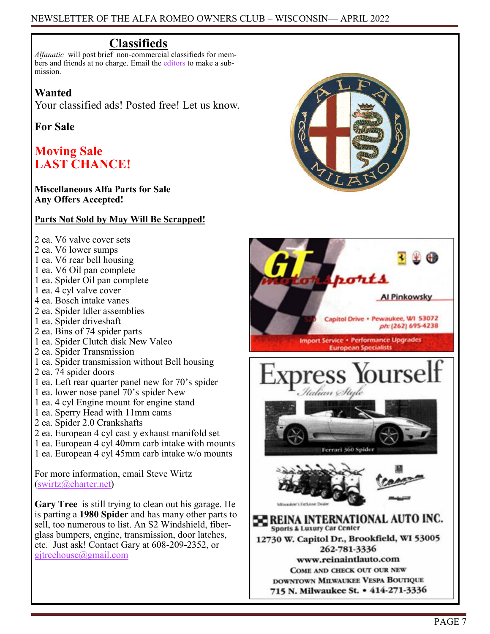## **Classifieds**

*Alfanatic* will post brief non-commercial classifieds for members and friends at no charge. Email the [editors](mailto:rabhalter@att.net) to make a submission.

## **Wanted**

Your classified ads! Posted free! Let us know.

## **For Sale**

## **Moving Sale LAST CHANCE!**

#### **Miscellaneous Alfa Parts for Sale Any Offers Accepted!**

#### **Parts Not Sold by May Will Be Scrapped!**

- 2 ea. V6 valve cover sets
- 2 ea. V6 lower sumps
- 1 ea. V6 rear bell housing
- 1 ea. V6 Oil pan complete
- 1 ea. Spider Oil pan complete
- 1 ea. 4 cyl valve cover
- 4 ea. Bosch intake vanes
- 2 ea. Spider Idler assemblies
- 1 ea. Spider driveshaft
- 2 ea. Bins of 74 spider parts
- 1 ea. Spider Clutch disk New Valeo
- 2 ea. Spider Transmission
- 1 ea. Spider transmission without Bell housing
- 2 ea. 74 spider doors
- 1 ea. Left rear quarter panel new for 70's spider
- 1 ea. lower nose panel 70's spider New
- 1 ea. 4 cyl Engine mount for engine stand
- 1 ea. Sperry Head with 11mm cams
- 2 ea. Spider 2.0 Crankshafts
- 2 ea. European 4 cyl cast y exhaust manifold set
- 1 ea. European 4 cyl 40mm carb intake with mounts
- 1 ea. European 4 cyl 45mm carb intake w/o mounts

For more information, email Steve Wirtz [\(swirtz@charter.net\)](mailto:swirtz@charter.net?subject=Alfa%20Parts)

**Gary Tree** is still trying to clean out his garage. He is parting a **1980 Spider** and has many other parts to sell, too numerous to list. An S2 Windshield, fiberglass bumpers, engine, transmission, door latches, etc. Just ask! Contact Gary at 608-209-2352, or [gjtreehouse@gmail.com](mailto:gjtreehouse@gmail.com)